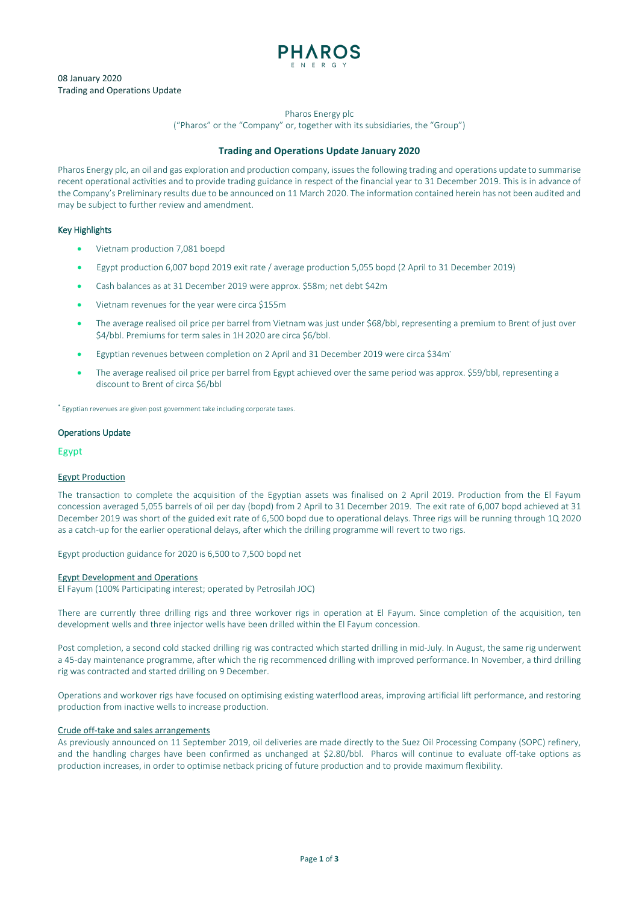

# 08 January 2020 Trading and Operations Update

Pharos Energy plc

("Pharos" or the "Company" or, together with its subsidiaries, the "Group")

## **Trading and Operations Update January 2020**

Pharos Energy plc, an oil and gas exploration and production company, issues the following trading and operations update to summarise recent operational activities and to provide trading guidance in respect of the financial year to 31 December 2019. This is in advance of the Company's Preliminary results due to be announced on 11 March 2020. The information contained herein has not been audited and may be subject to further review and amendment.

# Key Highlights

- Vietnam production 7,081 boepd
- Egypt production 6,007 bopd 2019 exit rate / average production 5,055 bopd (2 April to 31 December 2019)
- Cash balances as at 31 December 2019 were approx. \$58m; net debt \$42m
- Vietnam revenues for the year were circa \$155m
- The average realised oil price per barrel from Vietnam was just under \$68/bbl, representing a premium to Brent of just over \$4/bbl. Premiums for term sales in 1H 2020 are circa \$6/bbl.
- Egyptian revenues between completion on 2 April and 31 December 2019 were circa \$34m\*
- The average realised oil price per barrel from Egypt achieved over the same period was approx. \$59/bbl, representing a discount to Brent of circa \$6/bbl

\* Egyptian revenues are given post government take including corporate taxes.

#### Operations Update

Egypt

#### Egypt Production

The transaction to complete the acquisition of the Egyptian assets was finalised on 2 April 2019. Production from the El Fayum concession averaged 5,055 barrels of oil per day (bopd) from 2 April to 31 December 2019. The exit rate of 6,007 bopd achieved at 31 December 2019 was short of the guided exit rate of 6,500 bopd due to operational delays. Three rigs will be running through 1Q 2020 as a catch-up for the earlier operational delays, after which the drilling programme will revert to two rigs.

Egypt production guidance for 2020 is 6,500 to 7,500 bopd net

#### Egypt Development and Operations

El Fayum (100% Participating interest; operated by Petrosilah JOC)

There are currently three drilling rigs and three workover rigs in operation at El Fayum. Since completion of the acquisition, ten development wells and three injector wells have been drilled within the El Fayum concession.

Post completion, a second cold stacked drilling rig was contracted which started drilling in mid-July. In August, the same rig underwent a 45-day maintenance programme, after which the rig recommenced drilling with improved performance. In November, a third drilling rig was contracted and started drilling on 9 December.

Operations and workover rigs have focused on optimising existing waterflood areas, improving artificial lift performance, and restoring production from inactive wells to increase production.

#### Crude off-take and sales arrangements

As previously announced on 11 September 2019, oil deliveries are made directly to the Suez Oil Processing Company (SOPC) refinery, and the handling charges have been confirmed as unchanged at \$2.80/bbl. Pharos will continue to evaluate off-take options as production increases, in order to optimise netback pricing of future production and to provide maximum flexibility.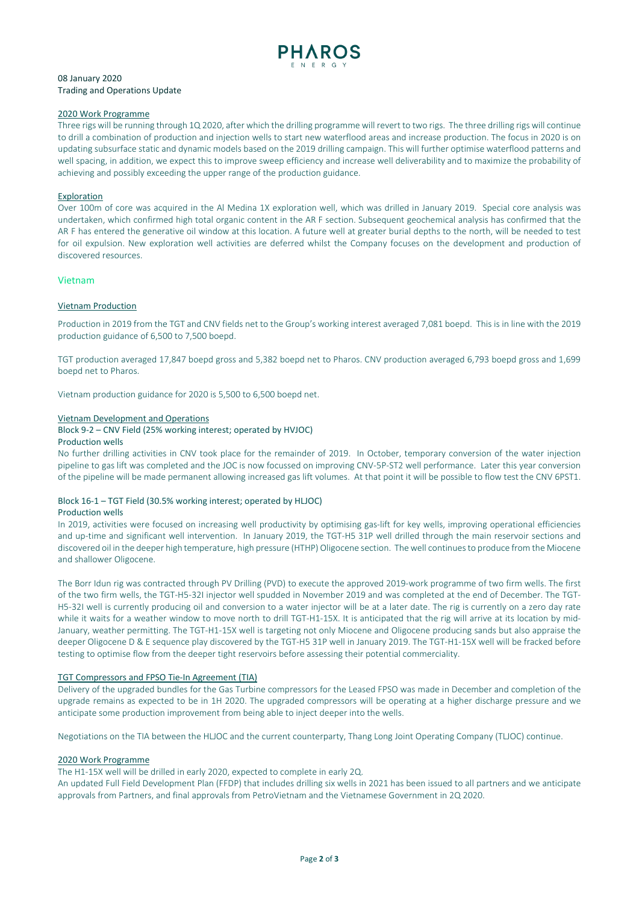

# 08 January 2020 Trading and Operations Update

### 2020 Work Programme

Three rigs will be running through 1Q 2020, after which the drilling programme will revert to two rigs. The three drilling rigs will continue to drill a combination of production and injection wells to start new waterflood areas and increase production. The focus in 2020 is on updating subsurface static and dynamic models based on the 2019 drilling campaign. This will further optimise waterflood patterns and well spacing, in addition, we expect this to improve sweep efficiency and increase well deliverability and to maximize the probability of achieving and possibly exceeding the upper range of the production guidance.

### Exploration

Over 100m of core was acquired in the Al Medina 1X exploration well, which was drilled in January 2019. Special core analysis was undertaken, which confirmed high total organic content in the AR F section. Subsequent geochemical analysis has confirmed that the AR F has entered the generative oil window at this location. A future well at greater burial depths to the north, will be needed to test for oil expulsion. New exploration well activities are deferred whilst the Company focuses on the development and production of discovered resources.

### Vietnam

### Vietnam Production

Production in 2019 from the TGT and CNV fields net to the Group's working interest averaged 7,081 boepd. This is in line with the 2019 production guidance of 6,500 to 7,500 boepd.

TGT production averaged 17,847 boepd gross and 5,382 boepd net to Pharos. CNV production averaged 6,793 boepd gross and 1,699 boepd net to Pharos.

Vietnam production guidance for 2020 is 5,500 to 6,500 boepd net.

### Vietnam Development and Operations

#### Block 9-2 – CNV Field (25% working interest; operated by HVJOC) Production wells

No further drilling activities in CNV took place for the remainder of 2019. In October, temporary conversion of the water injection pipeline to gas lift was completed and the JOC is now focussed on improving CNV-5P-ST2 well performance. Later this year conversion of the pipeline will be made permanent allowing increased gas lift volumes. At that point it will be possible to flow test the CNV 6PST1.

### Block 16-1 – TGT Field (30.5% working interest; operated by HLJOC) Production wells

In 2019, activities were focused on increasing well productivity by optimising gas-lift for key wells, improving operational efficiencies and up-time and significant well intervention. In January 2019, the TGT-H5 31P well drilled through the main reservoir sections and discovered oil in the deeper high temperature, high pressure (HTHP) Oligocene section. The well continues to produce from the Miocene and shallower Oligocene.

The Borr Idun rig was contracted through PV Drilling (PVD) to execute the approved 2019-work programme of two firm wells. The first of the two firm wells, the TGT-H5-32I injector well spudded in November 2019 and was completed at the end of December. The TGT-H5-32I well is currently producing oil and conversion to a water injector will be at a later date. The rig is currently on a zero day rate while it waits for a weather window to move north to drill TGT-H1-15X. It is anticipated that the rig will arrive at its location by mid-January, weather permitting. The TGT-H1-15X well is targeting not only Miocene and Oligocene producing sands but also appraise the deeper Oligocene D & E sequence play discovered by the TGT-H5 31P well in January 2019. The TGT-H1-15X well will be fracked before testing to optimise flow from the deeper tight reservoirs before assessing their potential commerciality.

# TGT Compressors and FPSO Tie-In Agreement (TIA)

Delivery of the upgraded bundles for the Gas Turbine compressors for the Leased FPSO was made in December and completion of the upgrade remains as expected to be in 1H 2020. The upgraded compressors will be operating at a higher discharge pressure and we anticipate some production improvement from being able to inject deeper into the wells.

Negotiations on the TIA between the HLJOC and the current counterparty, Thang Long Joint Operating Company (TLJOC) continue.

# 2020 Work Programme

The H1-15X well will be drilled in early 2020, expected to complete in early 2Q.

An updated Full Field Development Plan (FFDP) that includes drilling six wells in 2021 has been issued to all partners and we anticipate approvals from Partners, and final approvals from PetroVietnam and the Vietnamese Government in 2Q 2020.